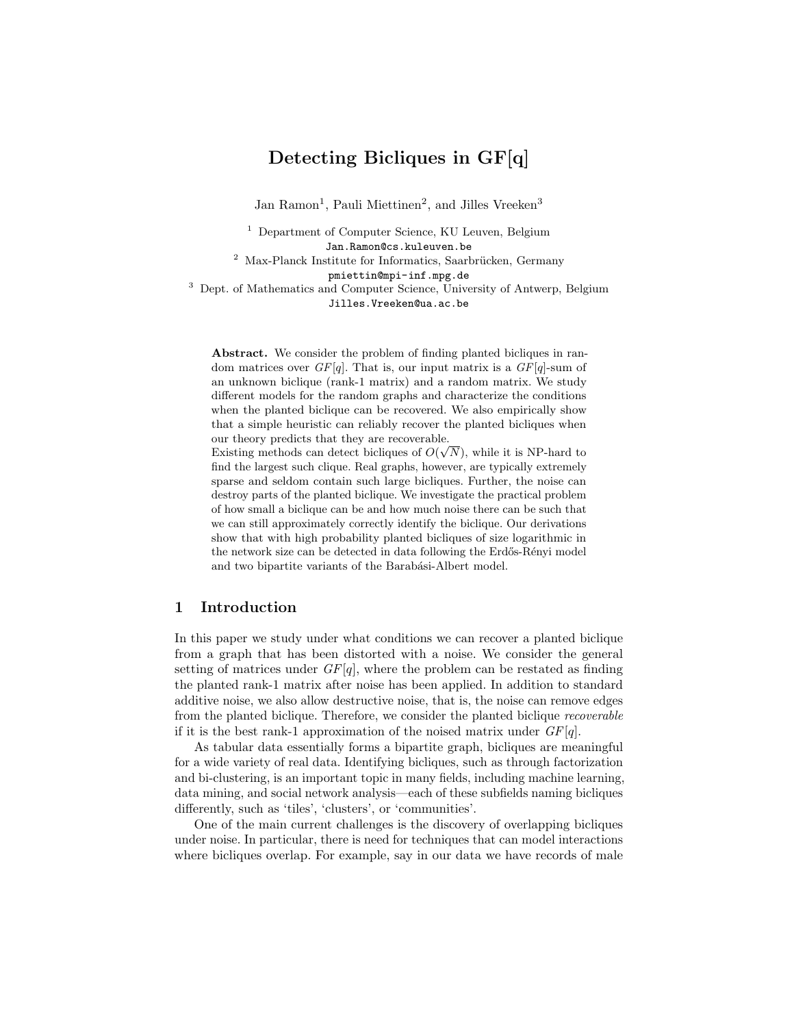# Detecting Bicliques in GF[q]

Jan Ramon<sup>1</sup>, Pauli Miettinen<sup>2</sup>, and Jilles Vreeken<sup>3</sup>

<sup>1</sup> Department of Computer Science, KU Leuven, Belgium Jan.Ramon@cs.kuleuven.be  $2$  Max-Planck Institute for Informatics, Saarbrücken, Germany pmiettin@mpi-inf.mpg.de <sup>3</sup> Dept. of Mathematics and Computer Science, University of Antwerp, Belgium Jilles.Vreeken@ua.ac.be

Abstract. We consider the problem of finding planted bicliques in random matrices over  $GF[q]$ . That is, our input matrix is a  $GF[q]$ -sum of an unknown biclique (rank-1 matrix) and a random matrix. We study different models for the random graphs and characterize the conditions when the planted biclique can be recovered. We also empirically show that a simple heuristic can reliably recover the planted bicliques when our theory predicts that they are recoverable. √

Existing methods can detect bicliques of  $O(\sqrt{N})$ , while it is NP-hard to find the largest such clique. Real graphs, however, are typically extremely sparse and seldom contain such large bicliques. Further, the noise can destroy parts of the planted biclique. We investigate the practical problem of how small a biclique can be and how much noise there can be such that we can still approximately correctly identify the biclique. Our derivations show that with high probability planted bicliques of size logarithmic in the network size can be detected in data following the Erdős-Rényi model and two bipartite variants of the Barabási-Albert model.

## 1 Introduction

In this paper we study under what conditions we can recover a planted biclique from a graph that has been distorted with a noise. We consider the general setting of matrices under  $GF[q]$ , where the problem can be restated as finding the planted rank-1 matrix after noise has been applied. In addition to standard additive noise, we also allow destructive noise, that is, the noise can remove edges from the planted biclique. Therefore, we consider the planted biclique recoverable if it is the best rank-1 approximation of the noised matrix under  $GF[q]$ .

As tabular data essentially forms a bipartite graph, bicliques are meaningful for a wide variety of real data. Identifying bicliques, such as through factorization and bi-clustering, is an important topic in many fields, including machine learning, data mining, and social network analysis—each of these subfields naming bicliques differently, such as 'tiles', 'clusters', or 'communities'.

One of the main current challenges is the discovery of overlapping bicliques under noise. In particular, there is need for techniques that can model interactions where bicliques overlap. For example, say in our data we have records of male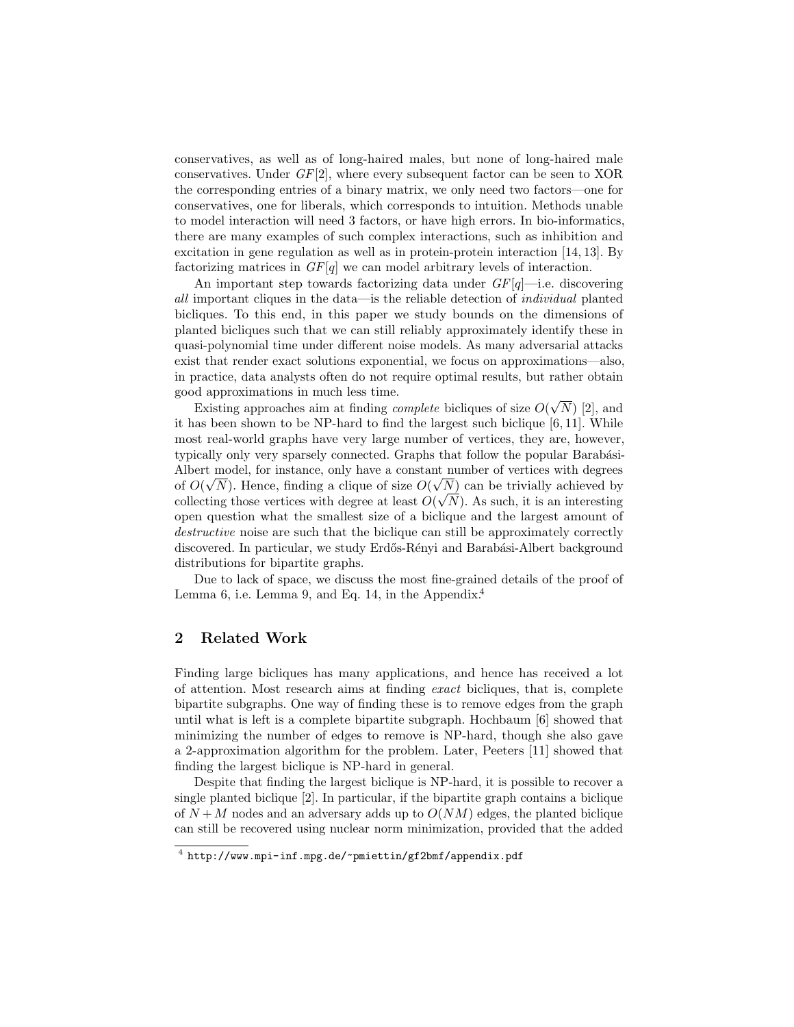conservatives, as well as of long-haired males, but none of long-haired male conservatives. Under  $GF[2]$ , where every subsequent factor can be seen to XOR the corresponding entries of a binary matrix, we only need two factors—one for conservatives, one for liberals, which corresponds to intuition. Methods unable to model interaction will need 3 factors, or have high errors. In bio-informatics, there are many examples of such complex interactions, such as inhibition and excitation in gene regulation as well as in protein-protein interaction [14, 13]. By factorizing matrices in  $GF[q]$  we can model arbitrary levels of interaction.

An important step towards factorizing data under  $GF[q]$ —i.e. discovering all important cliques in the data—is the reliable detection of individual planted bicliques. To this end, in this paper we study bounds on the dimensions of planted bicliques such that we can still reliably approximately identify these in quasi-polynomial time under different noise models. As many adversarial attacks exist that render exact solutions exponential, we focus on approximations—also, in practice, data analysts often do not require optimal results, but rather obtain good approximations in much less time. √

Existing approaches aim at finding *complete* bicliques of size  $O($  $(N)$  [2], and it has been shown to be NP-hard to find the largest such biclique [6, 11]. While most real-world graphs have very large number of vertices, they are, however, typically only very sparsely connected. Graphs that follow the popular Barabási-Albert model, for instance, only have a constant number of vertices with degrees of  $O(\sqrt{N})$ . Hence, finding a clique of size  $O(\sqrt{N})$  can be trivially achieved by collecting those vertices with degree at least  $O(\sqrt{N})$ . As such, it is an interesting open question what the smallest size of a biclique and the largest amount of destructive noise are such that the biclique can still be approximately correctly discovered. In particular, we study Erdős-Rényi and Barabási-Albert background distributions for bipartite graphs.

Due to lack of space, we discuss the most fine-grained details of the proof of Lemma 6, i.e. Lemma 9, and Eq. 14, in the Appendix.<sup>4</sup>

## 2 Related Work

Finding large bicliques has many applications, and hence has received a lot of attention. Most research aims at finding exact bicliques, that is, complete bipartite subgraphs. One way of finding these is to remove edges from the graph until what is left is a complete bipartite subgraph. Hochbaum [6] showed that minimizing the number of edges to remove is NP-hard, though she also gave a 2-approximation algorithm for the problem. Later, Peeters [11] showed that finding the largest biclique is NP-hard in general.

Despite that finding the largest biclique is NP-hard, it is possible to recover a single planted biclique [2]. In particular, if the bipartite graph contains a biclique of  $N + M$  nodes and an adversary adds up to  $O(NM)$  edges, the planted biclique can still be recovered using nuclear norm minimization, provided that the added

<sup>4</sup> http://www.mpi-inf.mpg.de/~pmiettin/gf2bmf/appendix.pdf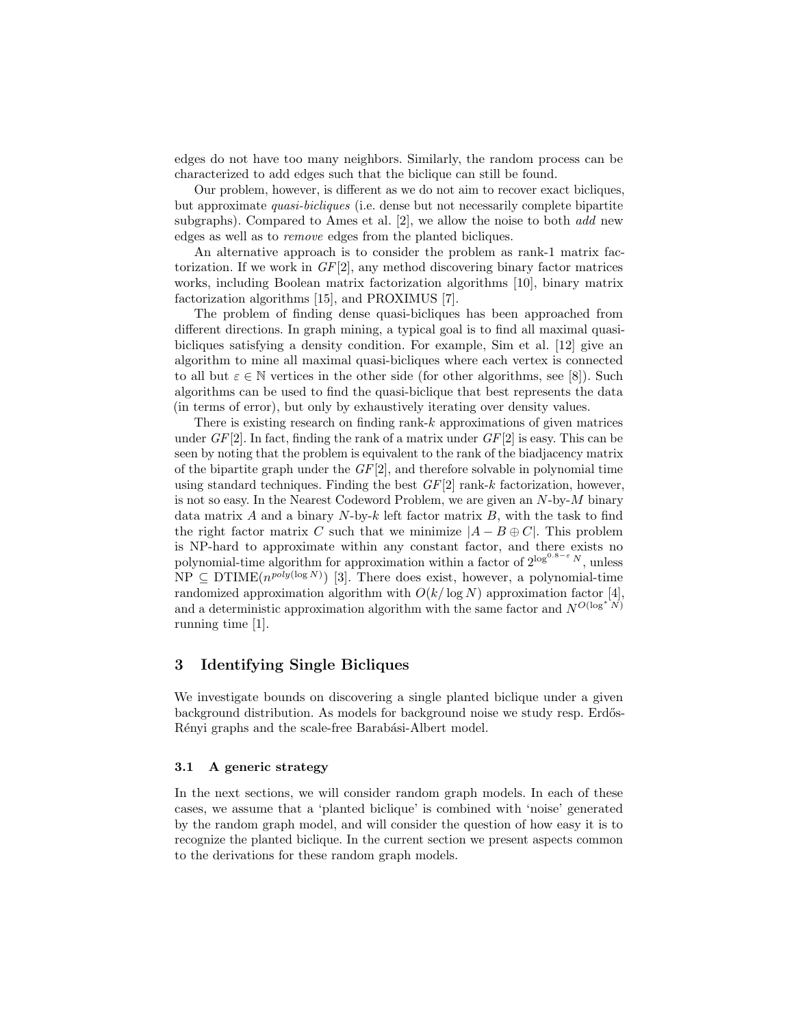edges do not have too many neighbors. Similarly, the random process can be characterized to add edges such that the biclique can still be found.

Our problem, however, is different as we do not aim to recover exact bicliques, but approximate quasi-bicliques (i.e. dense but not necessarily complete bipartite subgraphs). Compared to Ames et al. [2], we allow the noise to both *add* new edges as well as to remove edges from the planted bicliques.

An alternative approach is to consider the problem as rank-1 matrix factorization. If we work in  $GF[2]$ , any method discovering binary factor matrices works, including Boolean matrix factorization algorithms [10], binary matrix factorization algorithms [15], and PROXIMUS [7].

The problem of finding dense quasi-bicliques has been approached from different directions. In graph mining, a typical goal is to find all maximal quasibicliques satisfying a density condition. For example, Sim et al. [12] give an algorithm to mine all maximal quasi-bicliques where each vertex is connected to all but  $\varepsilon \in \mathbb{N}$  vertices in the other side (for other algorithms, see [8]). Such algorithms can be used to find the quasi-biclique that best represents the data (in terms of error), but only by exhaustively iterating over density values.

There is existing research on finding rank- $k$  approximations of given matrices under  $GF[2]$ . In fact, finding the rank of a matrix under  $GF[2]$  is easy. This can be seen by noting that the problem is equivalent to the rank of the biadjacency matrix of the bipartite graph under the  $GF[2]$ , and therefore solvable in polynomial time using standard techniques. Finding the best  $GF[2]$  rank-k factorization, however, is not so easy. In the Nearest Codeword Problem, we are given an N-by-M binary data matrix A and a binary  $N$ -by-k left factor matrix B, with the task to find the right factor matrix C such that we minimize  $|A - B \oplus C|$ . This problem is NP-hard to approximate within any constant factor, and there exists no polynomial-time algorithm for approximation within a factor of  $2^{\log^{0.8-\epsilon} N}$ , unless  $NP \subseteq DTIME(n^{poly(log N)})$  [3]. There does exist, however, a polynomial-time randomized approximation algorithm with  $O(k/\log N)$  approximation factor [4]. and a deterministic approximation algorithm with the same factor and  $N^{O(\log^* N)}$ running time [1].

## 3 Identifying Single Bicliques

We investigate bounds on discovering a single planted biclique under a given background distribution. As models for background noise we study resp. Erdős-Rényi graphs and the scale-free Barabási-Albert model.

#### 3.1 A generic strategy

In the next sections, we will consider random graph models. In each of these cases, we assume that a 'planted biclique' is combined with 'noise' generated by the random graph model, and will consider the question of how easy it is to recognize the planted biclique. In the current section we present aspects common to the derivations for these random graph models.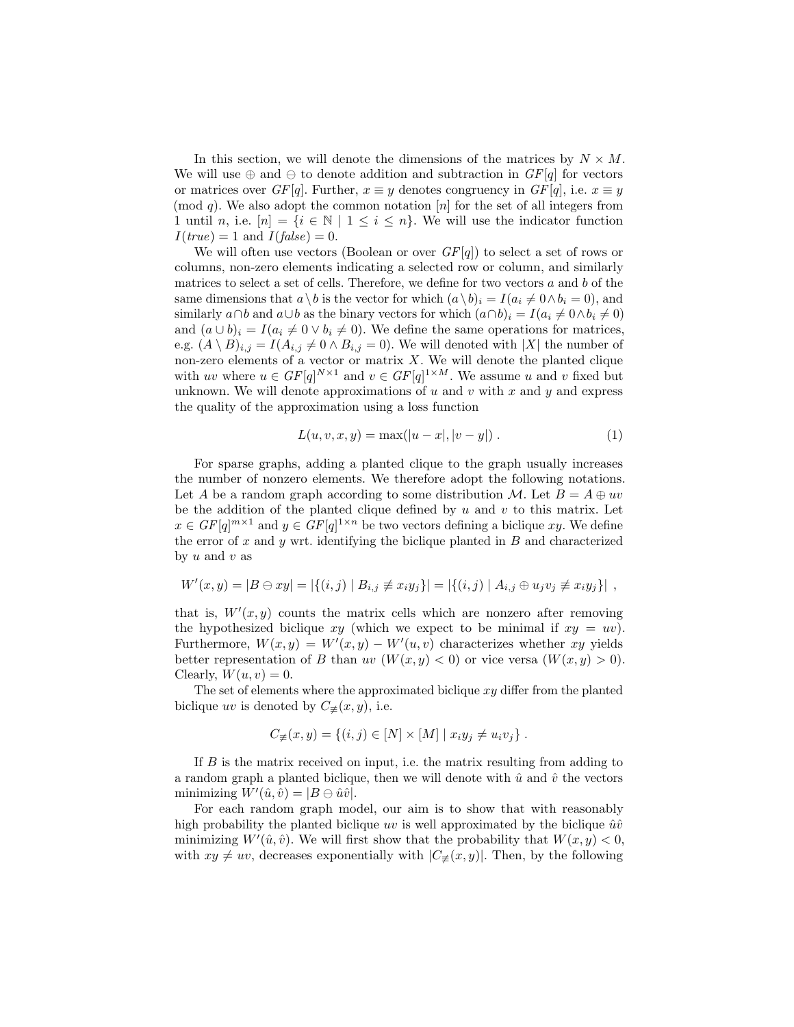In this section, we will denote the dimensions of the matrices by  $N \times M$ . We will use  $\oplus$  and  $\ominus$  to denote addition and subtraction in  $GF[q]$  for vectors or matrices over  $GF[q]$ . Further,  $x \equiv y$  denotes congruency in  $GF[q]$ , i.e.  $x \equiv y$ (mod  $q$ ). We also adopt the common notation [n] for the set of all integers from 1 until n, i.e.  $[n] = \{i \in \mathbb{N} \mid 1 \leq i \leq n\}$ . We will use the indicator function  $I(true) = 1$  and  $I(false) = 0$ .

We will often use vectors (Boolean or over  $GF[q]$ ) to select a set of rows or columns, non-zero elements indicating a selected row or column, and similarly matrices to select a set of cells. Therefore, we define for two vectors  $a$  and  $b$  of the same dimensions that  $a\setminus b$  is the vector for which  $(a\setminus b)_i = I(a_i \neq 0 \wedge b_i = 0)$ , and similarly  $a \cap b$  and  $a \cup b$  as the binary vectors for which  $(a \cap b)_i = I(a_i \neq 0 \land b_i \neq 0)$ and  $(a \cup b)_i = I(a_i \neq 0 \vee b_i \neq 0)$ . We define the same operations for matrices, e.g.  $(A \setminus B)_{i,j} = I(A_{i,j} \neq 0 \land B_{i,j} = 0)$ . We will denoted with  $|X|$  the number of non-zero elements of a vector or matrix  $X$ . We will denote the planted clique with uv where  $u \in GF[q]^{N \times 1}$  and  $v \in GF[q]^{1 \times M}$ . We assume u and v fixed but unknown. We will denote approximations of  $u$  and  $v$  with  $x$  and  $y$  and express the quality of the approximation using a loss function

$$
L(u, v, x, y) = \max(|u - x|, |v - y|).
$$
 (1)

For sparse graphs, adding a planted clique to the graph usually increases the number of nonzero elements. We therefore adopt the following notations. Let A be a random graph according to some distribution M. Let  $B = A \oplus uv$ be the addition of the planted clique defined by  $u$  and  $v$  to this matrix. Let  $x \in GF[q]^{m \times 1}$  and  $y \in GF[q]^{1 \times n}$  be two vectors defining a biclique  $xy$ . We define the error of  $x$  and  $y$  wrt. identifying the biclique planted in  $B$  and characterized by  $u$  and  $v$  as

$$
W'(x,y) = |B \ominus xy| = |\{(i,j) | B_{i,j} \not\equiv x_iy_j\}| = |\{(i,j) | A_{i,j} \oplus u_jv_j \not\equiv x_iy_j\}|,
$$

that is,  $W'(x, y)$  counts the matrix cells which are nonzero after removing the hypothesized biclique xy (which we expect to be minimal if  $xy = uv$ ). Furthermore,  $W(x, y) = W'(x, y) - W'(u, v)$  characterizes whether xy yields better representation of B than uv  $(W(x, y) < 0)$  or vice versa  $(W(x, y) > 0)$ . Clearly,  $W(u, v) = 0$ .

The set of elements where the approximated biclique  $xy$  differ from the planted biclique uv is denoted by  $C_{\neq}(x, y)$ , i.e.

$$
C_{\neq}(x, y) = \{(i, j) \in [N] \times [M] \mid x_i y_j \neq u_i v_j \}.
$$

If  $B$  is the matrix received on input, i.e. the matrix resulting from adding to a random graph a planted biclique, then we will denote with  $\hat{u}$  and  $\hat{v}$  the vectors minimizing  $W'(\hat{u}, \hat{v}) = |B \ominus \hat{u}\hat{v}|.$ 

For each random graph model, our aim is to show that with reasonably high probability the planted biclique uv is well approximated by the biclique  $\hat{u}\hat{v}$ minimizing  $W'(\hat{u}, \hat{v})$ . We will first show that the probability that  $W(x, y) < 0$ , with  $xy \neq uv$ , decreases exponentially with  $|C_{\neq}(x, y)|$ . Then, by the following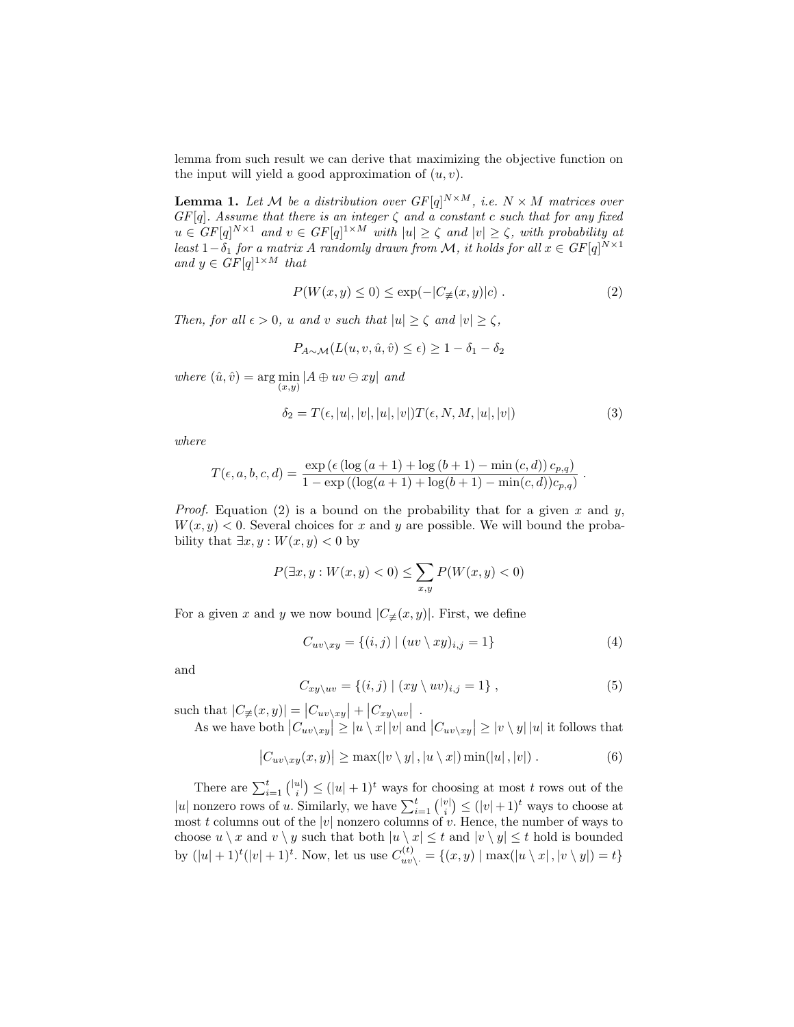lemma from such result we can derive that maximizing the objective function on the input will yield a good approximation of  $(u, v)$ .

**Lemma 1.** Let M be a distribution over  $GF[q]^{N \times M}$ , i.e.  $N \times M$  matrices over  $GF[q]$ . Assume that there is an integer  $\zeta$  and a constant c such that for any fixed  $u \in GF[q]^{N \times 1}$  and  $v \in GF[q]^{1 \times M}$  with  $|u| \geq \zeta$  and  $|v| \geq \zeta$ , with probability at least  $1-\delta_1$  for a matrix A randomly drawn from M, it holds for all  $x \in GF[q]^{N\times 1}$ and  $y \in GF[q]^{1 \times M}$  that

$$
P(W(x, y) \le 0) \le \exp(-|C_{\neq}(x, y)|c) \tag{2}
$$

Then, for all  $\epsilon > 0$ , u and v such that  $|u| \geq \zeta$  and  $|v| \geq \zeta$ ,

$$
P_{A \sim \mathcal{M}}(L(u, v, \hat{u}, \hat{v}) \le \epsilon) \ge 1 - \delta_1 - \delta_2
$$

where  $(\hat{u}, \hat{v}) = \arg \min_{(x,y)} |A \oplus uv \ominus xy|$  and

$$
\delta_2 = T(\epsilon, |u|, |v|, |u|, |v|)T(\epsilon, N, M, |u|, |v|)
$$
\n(3)

where

$$
T(\epsilon, a, b, c, d) = \frac{\exp (\epsilon (\log (a+1) + \log (b+1) - \min (c, d)) c_{p,q})}{1 - \exp ((\log (a+1) + \log (b+1) - \min (c, d)) c_{p,q})}.
$$

*Proof.* Equation (2) is a bound on the probability that for a given x and y,  $W(x, y) < 0$ . Several choices for x and y are possible. We will bound the probability that  $\exists x, y : W(x, y) < 0$  by

$$
P(\exists x, y : W(x, y) < 0) \le \sum_{x, y} P(W(x, y) < 0)
$$

For a given x and y we now bound  $|C_{\neq}(x, y)|$ . First, we define

$$
C_{uv\setminus xy} = \{(i,j) \mid (uv \setminus xy)_{i,j} = 1\}
$$
\n(4)

and

$$
C_{xy\setminus uv} = \{(i,j) \mid (xy \setminus uv)_{i,j} = 1\},\tag{5}
$$

such that  $|C_{\neq}(x,y)| = |C_{uv} \setminus xy| + |C_{xy} \setminus uv|$ .

As we have both  $|C_{uv\setminus xy}|\geq |u\setminus x| |v|$  and  $|C_{uv\setminus xy}|\geq |v\setminus y| |u|$  it follows that

$$
|C_{uv\setminus xy}(x,y)| \ge \max(|v \setminus y|, |u \setminus x|) \min(|u|, |v|).
$$
 (6)

There are  $\sum_{i=1}^t {\binom{|u|}{i}} \leq (|u|+1)^t$  ways for choosing at most t rows out of the |u| nonzero rows of u. Similarly, we have  $\sum_{i=1}^{t} {|\nu| \choose i} \leq (|\nu|+1)^t$  ways to choose at most t columns out of the  $|v|$  nonzero columns of v. Hence, the number of ways to choose  $u \setminus x$  and  $v \setminus y$  such that both  $|u \setminus x| \leq t$  and  $|v \setminus y| \leq t$  hold is bounded by  $(|u| + 1)^t (|v| + 1)^t$ . Now, let us use  $C_{uv\backslash}^{(t)} = \{(x, y) | \max(|u \setminus x|, |v \setminus y|) = t\}$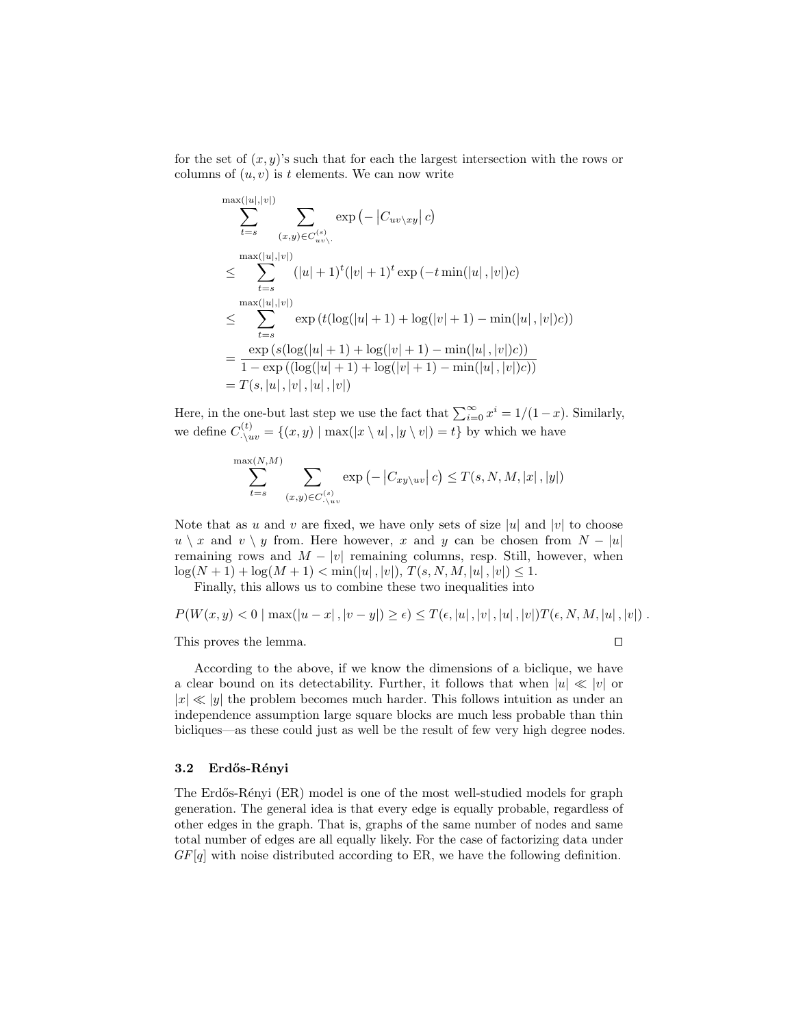for the set of  $(x, y)$ 's such that for each the largest intersection with the rows or columns of  $(u, v)$  is t elements. We can now write

$$
\sum_{t=s}^{\max(|u|,|v|)} \sum_{(x,y)\in C_{uv\setminus v}^{(s)}} \exp(-|C_{uv\setminus xy}|c)
$$
\n
$$
\leq \sum_{t=s}^{\max(|u|,|v|)} (|u|+1)^t (|v|+1)^t \exp(-t \min(|u|,|v|)c)
$$
\n
$$
\leq \sum_{t=s}^{\max(|u|,|v|)} \exp(t(\log(|u|+1) + \log(|v|+1) - \min(|u|,|v|)c))
$$
\n
$$
= \frac{\exp(s(\log(|u|+1) + \log(|v|+1) - \min(|u|,|v|)c))}{1 - \exp((\log(|u|+1) + \log(|v|+1) - \min(|u|,|v|)c))}
$$
\n
$$
= T(s, |u|, |v|, |u|, |v|)
$$

Here, in the one-but last step we use the fact that  $\sum_{i=0}^{\infty} x^i = 1/(1-x)$ . Similarly, we define  $C_{\setminus uv}^{(t)} = \{(x, y) \mid \max(|x \setminus u|, |y \setminus v|) = t\}$  by which we have

$$
\sum_{t=s}^{\max(N,M)} \sum_{(x,y)\in C_{\cdot\setminus uv}^{(s)}} \exp\left(-\left|C_{xy\setminus uv}\right|c\right) \le T(s,N,M,|x|\,,|y|)
$$

Note that as u and v are fixed, we have only sets of size |u| and |v| to choose  $u \setminus x$  and  $v \setminus y$  from. Here however, x and y can be chosen from  $N - |u|$ remaining rows and  $M - |v|$  remaining columns, resp. Still, however, when  $\log(N + 1) + \log(M + 1) < \min(|u|, |v|), T(s, N, M, |u|, |v|) \leq 1.$ 

Finally, this allows us to combine these two inequalities into

$$
P(W(x, y) < 0 \mid \max(|u - x|, |v - y|) \geq \epsilon) \leq T(\epsilon, |u|, |v|, |u|, |v|) T(\epsilon, N, M, |u|, |v|).
$$

This proves the lemma.  $\Box$ 

According to the above, if we know the dimensions of a biclique, we have a clear bound on its detectability. Further, it follows that when  $|u| \ll |v|$  or  $|x| \ll |y|$  the problem becomes much harder. This follows intuition as under an independence assumption large square blocks are much less probable than thin bicliques—as these could just as well be the result of few very high degree nodes.

#### 3.2 Erdős-Rényi

The Erdős-Rényi (ER) model is one of the most well-studied models for graph generation. The general idea is that every edge is equally probable, regardless of other edges in the graph. That is, graphs of the same number of nodes and same total number of edges are all equally likely. For the case of factorizing data under  $GF[q]$  with noise distributed according to ER, we have the following definition.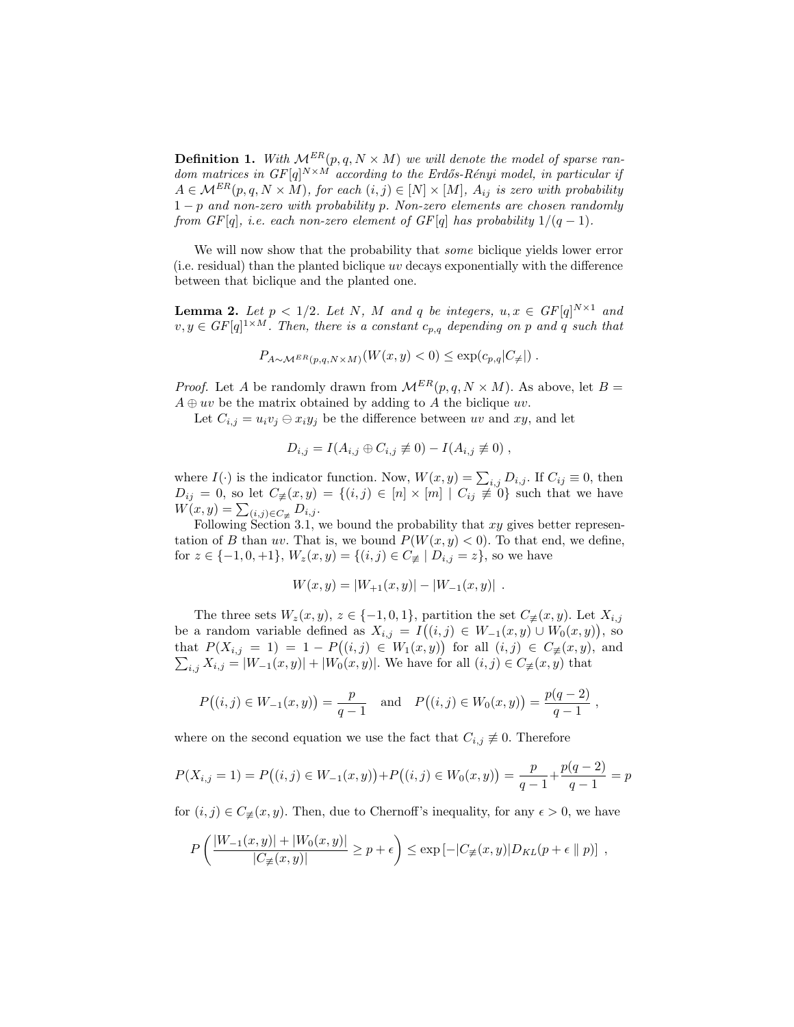**Definition 1.** With  $\mathcal{M}^{ER}(p,q,N \times M)$  we will denote the model of sparse random matrices in  $GF[q]^{N \times M}$  according to the Erdős-Rényi model, in particular if  $A \in \mathcal{M}^{ER}(p,q,N \times M)$ , for each  $(i, j) \in [N] \times [M]$ ,  $A_{ij}$  is zero with probability 1 − p and non-zero with probability p. Non-zero elements are chosen randomly from  $GF[q]$ , i.e. each non-zero element of  $GF[q]$  has probability  $1/(q-1)$ .

We will now show that the probability that *some* biclique yields lower error (i.e. residual) than the planted biclique uv decays exponentially with the difference between that biclique and the planted one.

**Lemma 2.** Let  $p < 1/2$ . Let N, M and q be integers,  $u, x \in GF[q]^{N \times 1}$  and  $v, y \in GF[q]^{1 \times M}$ . Then, there is a constant  $c_{p,q}$  depending on p and q such that

$$
P_{A \sim \mathcal{M}^{ER}(p,q,N \times M)}(W(x,y) < 0) \le \exp(c_{p,q}|C_{\neq}|) \, .
$$

*Proof.* Let A be randomly drawn from  $\mathcal{M}^{ER}(p, q, N \times M)$ . As above, let  $B =$  $A \oplus uv$  be the matrix obtained by adding to A the biclique uv.

Let  $C_{i,j} = u_i v_j \ominus x_i y_j$  be the difference between uv and xy, and let

$$
D_{i,j} = I(A_{i,j} \oplus C_{i,j} \not\equiv 0) - I(A_{i,j} \not\equiv 0) ,
$$

where  $I(\cdot)$  is the indicator function. Now,  $W(x, y) = \sum_{i,j} D_{i,j}$ . If  $C_{ij} \equiv 0$ , then  $D_{ij} = 0$ , so let  $C_{\neq}(x, y) = \{(i, j) \in [n] \times [m] \mid C_{ij} \neq 0\}$  such that we have  $W(x,y) = \sum_{(i,j)\in C_{\neq}} D_{i,j}.$ 

Following Section 3.1, we bound the probability that  $xy$  gives better representation of B than uv. That is, we bound  $P(W(x, y) < 0)$ . To that end, we define, for  $z \in \{-1, 0, +1\}$ ,  $W_z(x, y) = \{(i, j) \in C_{\neq} \mid D_{i,j} = z\}$ , so we have

$$
W(x,y) = |W_{+1}(x,y)| - |W_{-1}(x,y)|.
$$

The three sets  $W_z(x, y)$ ,  $z \in \{-1, 0, 1\}$ , partition the set  $C_{\neq}(x, y)$ . Let  $X_{i,j}$ be a random variable defined as  $X_{i,j} = I((i,j) \in W_{-1}(x,y) \cup W_0(x,y)),$  so that  $P(X_{i,j} = 1) = 1 - P((i,j) \in W_1(x,y))$  for all  $(i,j) \in C_{\neq}(x,y)$ , and  $\sum_{i,j} X_{i,j} = |W_{-1}(x,y)| + |W_0(x,y)|$ . We have for all  $(i,j) \in C_{\neq}(x,y)$  that

$$
P((i, j) \in W_{-1}(x, y)) = \frac{p}{q-1}
$$
 and  $P((i, j) \in W_0(x, y)) = \frac{p(q-2)}{q-1}$ ,

where on the second equation we use the fact that  $C_{i,j} \neq 0$ . Therefore

$$
P(X_{i,j} = 1) = P((i,j) \in W_{-1}(x,y)) + P((i,j) \in W_0(x,y)) = \frac{p}{q-1} + \frac{p(q-2)}{q-1} = p
$$

for  $(i, j) \in C_{\neq}(x, y)$ . Then, due to Chernoff's inequality, for any  $\epsilon > 0$ , we have

$$
P\left(\frac{|W_{-1}(x,y)|+|W_0(x,y)|}{|C_{\neq}(x,y)|}\geq p+\epsilon\right)\leq \exp\left[-|C_{\neq}(x,y)|D_{KL}(p+\epsilon\parallel p)\right],
$$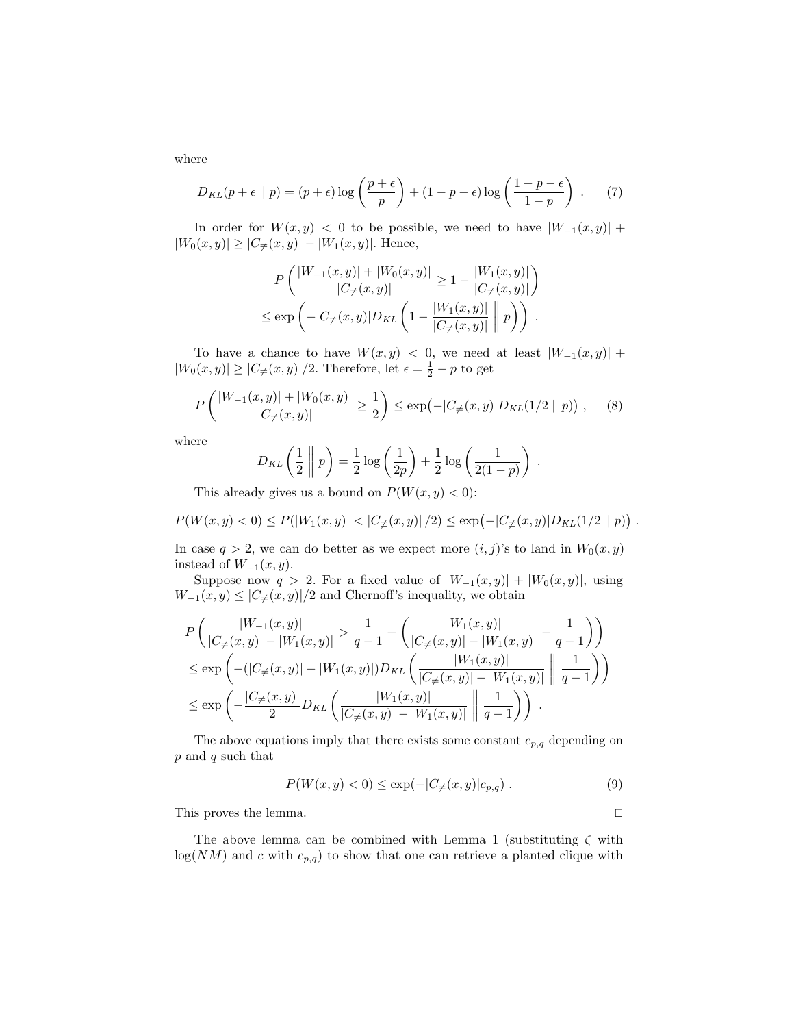where

$$
D_{KL}(p + \epsilon \parallel p) = (p + \epsilon) \log \left( \frac{p + \epsilon}{p} \right) + (1 - p - \epsilon) \log \left( \frac{1 - p - \epsilon}{1 - p} \right) . \tag{7}
$$

In order for  $W(x, y) < 0$  to be possible, we need to have  $|W_{-1}(x, y)| +$  $|W_0(x, y)| \geq |C_{\neq}(x, y)| - |W_1(x, y)|$ . Hence,

$$
P\left(\frac{|W_{-1}(x,y)|+|W_0(x,y)|}{|C_{\neq}(x,y)|}\ge 1-\frac{|W_1(x,y)|}{|C_{\neq}(x,y)|}\right)\le \exp\left(-|C_{\neq}(x,y)|D_{KL}\left(1-\frac{|W_1(x,y)|}{|C_{\neq}(x,y)|}\middle\|p\right)\right).
$$

To have a chance to have  $W(x, y) < 0$ , we need at least  $|W_{-1}(x, y)| +$  $|W_0(x,y)| \geq |C_{\neq}(x,y)|/2.$  Therefore, let  $\epsilon = \frac{1}{2} - p$  to get

$$
P\left(\frac{|W_{-1}(x,y)|+|W_0(x,y)|}{|C_{\neq}(x,y)|}\geq \frac{1}{2}\right)\leq \exp\left(-|C_{\neq}(x,y)|D_{KL}(1/2\parallel p)\right),\quad (8)
$$

where

$$
D_{KL}\left(\frac{1}{2}\n\middle\|\n\left\|\n\right.\n\right) = \frac{1}{2}\log\left(\frac{1}{2p}\right) + \frac{1}{2}\log\left(\frac{1}{2(1-p)}\right) \,.
$$

This already gives us a bound on  $P(W(x, y) < 0)$ :

$$
P(W(x, y) < 0) \le P(|W_1(x, y)| < |C_{\neq}(x, y)|/2) \le \exp(-|C_{\neq}(x, y)|D_{KL}(1/2 \parallel p)).
$$

In case  $q > 2$ , we can do better as we expect more  $(i, j)$ 's to land in  $W_0(x, y)$ instead of  $W_{-1}(x, y)$ .

Suppose now  $q > 2$ . For a fixed value of  $|W_{-1}(x,y)| + |W_0(x,y)|$ , using  $W_{-1}(x, y) \leq |C_{\neq}(x, y)|/2$  and Chernoff's inequality, we obtain

$$
P\left(\frac{|W_{-1}(x,y)|}{|C_{\ne}(x,y)|-|W_{1}(x,y)|} > \frac{1}{q-1} + \left(\frac{|W_{1}(x,y)|}{|C_{\ne}(x,y)|-|W_{1}(x,y)|} - \frac{1}{q-1}\right)\right)
$$
  
\n
$$
\leq \exp\left(-(|C_{\ne}(x,y)|-|W_{1}(x,y)|)D_{KL}\left(\frac{|W_{1}(x,y)|}{|C_{\ne}(x,y)|-|W_{1}(x,y)|}\middle\| \frac{1}{q-1}\right)\right)
$$
  
\n
$$
\leq \exp\left(-\frac{|C_{\ne}(x,y)|}{2}D_{KL}\left(\frac{|W_{1}(x,y)|}{|C_{\ne}(x,y)|-|W_{1}(x,y)|}\middle\| \frac{1}{q-1}\right)\right).
$$

The above equations imply that there exists some constant  $c_{p,q}$  depending on  $p$  and  $q$  such that

$$
P(W(x, y) < 0) \le \exp(-|C_{\neq}(x, y)|c_{p, q}) \tag{9}
$$

This proves the lemma.  $\Box$ 

The above lemma can be combined with Lemma 1 (substituting  $\zeta$  with  $log(NM)$  and c with  $c_{p,q}$ ) to show that one can retrieve a planted clique with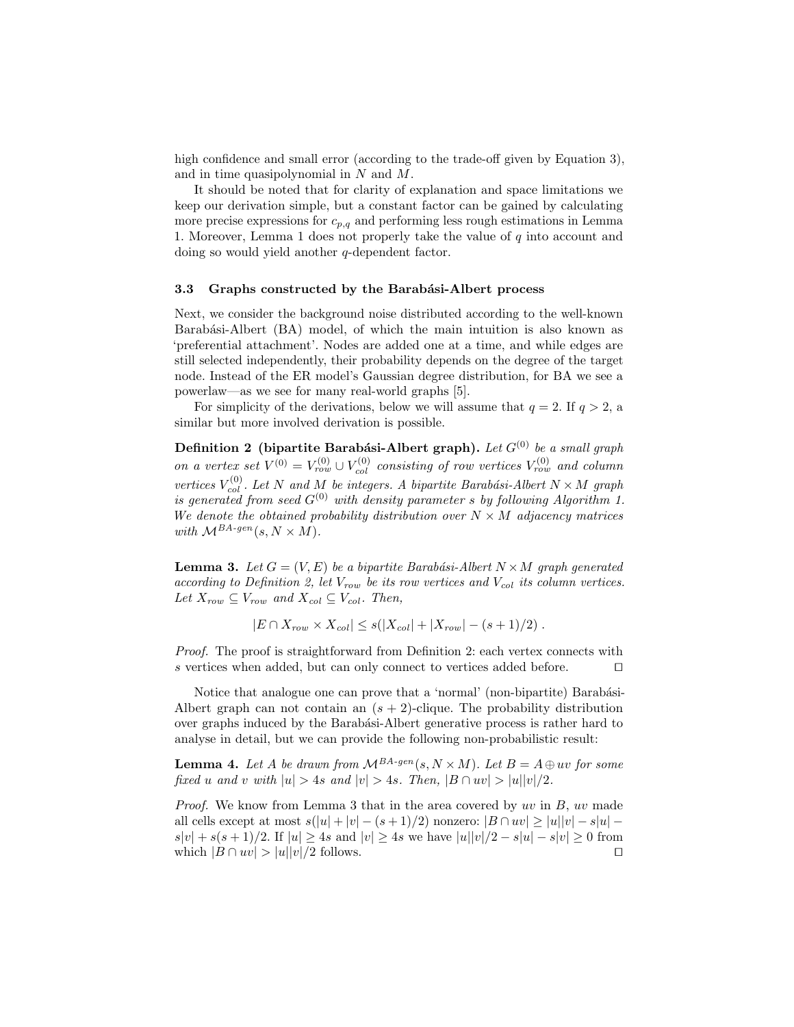high confidence and small error (according to the trade-off given by Equation 3), and in time quasipolynomial in N and M.

It should be noted that for clarity of explanation and space limitations we keep our derivation simple, but a constant factor can be gained by calculating more precise expressions for  $c_{p,q}$  and performing less rough estimations in Lemma 1. Moreover, Lemma 1 does not properly take the value of  $q$  into account and doing so would yield another q-dependent factor.

#### 3.3 Graphs constructed by the Barabási-Albert process

Next, we consider the background noise distributed according to the well-known Barabási-Albert (BA) model, of which the main intuition is also known as 'preferential attachment'. Nodes are added one at a time, and while edges are still selected independently, their probability depends on the degree of the target node. Instead of the ER model's Gaussian degree distribution, for BA we see a powerlaw—as we see for many real-world graphs [5].

For simplicity of the derivations, below we will assume that  $q = 2$ . If  $q > 2$ , a similar but more involved derivation is possible.

Definition 2 (bipartite Barabási-Albert graph). Let  $G^{(0)}$  be a small graph on a vertex set  $V^{(0)} = V_{row}^{(0)} \cup V_{col}^{(0)}$  consisting of row vertices  $V_{row}^{(0)}$  and column vertices  $V_{col}^{(0)}$ . Let N and M be integers. A bipartite Barabási-Albert  $N \times M$  graph is generated from seed  $G^{(0)}$  with density parameter s by following Algorithm 1. We denote the obtained probability distribution over  $N \times M$  adjacency matrices with  $\mathcal{M}^{BA\text{-}gen}(s, N \times M)$ .

**Lemma 3.** Let  $G = (V, E)$  be a bipartite Barabási-Albert  $N \times M$  graph generated according to Definition 2, let  $V_{row}$  be its row vertices and  $V_{col}$  its column vertices. Let  $X_{row} \subseteq V_{row}$  and  $X_{col} \subseteq V_{col}$ . Then,

$$
|E \cap X_{row} \times X_{col}| \le s(|X_{col}| + |X_{row}| - (s+1)/2).
$$

Proof. The proof is straightforward from Definition 2: each vertex connects with s vertices when added, but can only connect to vertices added before.  $\Box$ 

Notice that analogue one can prove that a 'normal' (non-bipartite) Barabási-Albert graph can not contain an  $(s + 2)$ -clique. The probability distribution over graphs induced by the Barabási-Albert generative process is rather hard to analyse in detail, but we can provide the following non-probabilistic result:

**Lemma 4.** Let A be drawn from  $\mathcal{M}^{BA\text{-}gen}(s, N \times M)$ . Let  $B = A \oplus uv$  for some fixed u and v with  $|u| > 4s$  and  $|v| > 4s$ . Then,  $|B \cap uv| > |u||v|/2$ .

*Proof.* We know from Lemma 3 that in the area covered by  $uv$  in  $B$ ,  $uv$  made all cells except at most  $s(|u| + |v| - (s+1)/2)$  nonzero:  $|B \cap uv| \ge |u||v| - s|u|$  $s|v| + s(s+1)/2$ . If  $|u| \ge 4s$  and  $|v| \ge 4s$  we have  $|u||v|/2 - s|u| - s|v| \ge 0$  from which  $|B \cap uv| > |u||v|/2$  follows.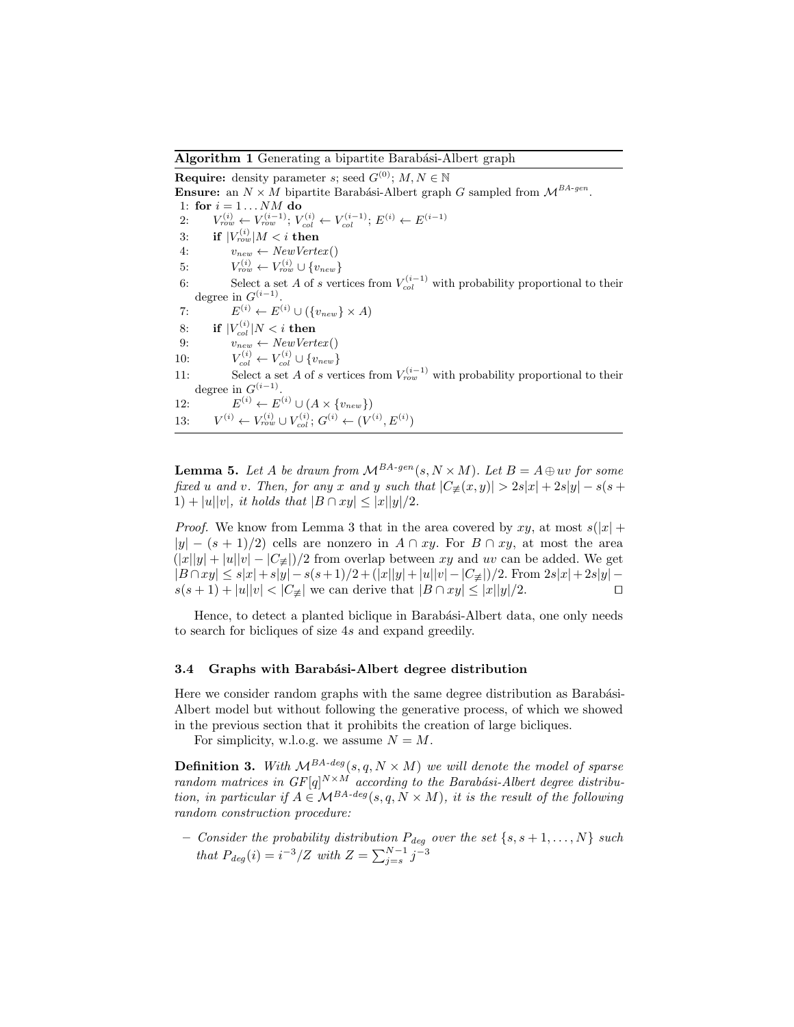Algorithm 1 Generating a bipartite Barabási-Albert graph

**Require:** density parameter *s*; seed  $G^{(0)}$ ;  $M, N \in \mathbb{N}$ **Ensure:** an  $N \times M$  bipartite Barabási-Albert graph G sampled from  $\mathcal{M}^{BA\text{-}gen}$ . 1: for  $i = 1 \dots NM$  do 2:  $V_{row}^{(i)} \leftarrow V_{row}^{(i-1)}$ ;  $V_{col}^{(i)} \leftarrow V_{col}^{(i-1)}$ ;  $E^{(i)} \leftarrow E^{(i-1)}$  $3\colon \quad \quad {\bf if}\,\, |V_{row}^{(i)}|M < i\,\, {\bf then}$ 4:  $v_{new} \leftarrow NewVertex()$ 5:  $V_{row}^{(i)} \leftarrow V_{row}^{(i)} \cup \{v_{new}\}\$ 6: Select a set A of s vertices from  $V_{col}^{(i-1)}$  with probability proportional to their degree in  $G^{(i-1)}$ . 7:  $E^{(i)} \leftarrow E^{(i)} \cup (\{v_{new}\} \times A)$ 8: if  $|V_{col}^{(i)}|N < i$  then 9:  $v_{new} \leftarrow NewVertex()$  $10:$  $V_{col}^{(i)} \leftarrow V_{col}^{(i)} \cup \{v_{new}\}$ 11: Select a set A of s vertices from  $V_{row}^{(i-1)}$  with probability proportional to their degree in  $G^{(i-1)}$ . 12:  $E^{(i)} \leftarrow E^{(i)} \cup (A \times \{v_{new}\})$  $13:$  $(V^{(i)}_{row} \cup V^{(i)}_{col}; G^{(i)} \leftarrow (V^{(i)}, E^{(i)})$ 

**Lemma 5.** Let A be drawn from  $\mathcal{M}^{BA\text{-}gen}(s, N \times M)$ . Let  $B = A \oplus uv$  for some fixed u and v. Then, for any x and y such that  $|C_{\neq}(x,y)| > 2s|x| + 2s|y| - s(s +$  $1) + |u||v|$ , it holds that  $|B \cap xy| \leq |x||y|/2$ .

*Proof.* We know from Lemma 3 that in the area covered by xy, at most  $s(|x| +$  $|y| - (s + 1)/2$  cells are nonzero in  $A \cap xy$ . For  $B \cap xy$ , at most the area  $(|x||y| + |u||v| - |C_{\neq}||/2$  from overlap between xy and uv can be added. We get  $|B \cap xy| \leq s|x| + s|y| - s(s+1)/2 + (|x||y| + |u||v| - |C_{\neq}|)/2.$  From  $2s|x| + 2s|y|$  $s(s+1) + |u||v| < |C_{\neq}|$  we can derive that  $|B \cap xy| \leq |x||y|/2$ .

Hence, to detect a planted biclique in Barabási-Albert data, one only needs to search for bicliques of size 4s and expand greedily.

### 3.4 Graphs with Barabási-Albert degree distribution

Here we consider random graphs with the same degree distribution as Barabási-Albert model but without following the generative process, of which we showed in the previous section that it prohibits the creation of large bicliques.

For simplicity, w.l.o.g. we assume  $N = M$ .

**Definition 3.** With  $\mathcal{M}^{BA-deg}(s, q, N \times M)$  we will denote the model of sparse random matrices in  $GF[q]^{N \times M}$  according to the Barabási-Albert degree distribution, in particular if  $A \in \mathcal{M}^{BA-deg}(s, q, N \times M)$ , it is the result of the following random construction procedure:

– Consider the probability distribution  $P_{deg}$  over the set  $\{s, s+1, \ldots, N\}$  such that  $P_{deg}(i) = i^{-3}/Z$  with  $Z = \sum_{j=s}^{N-1} j^{-3}$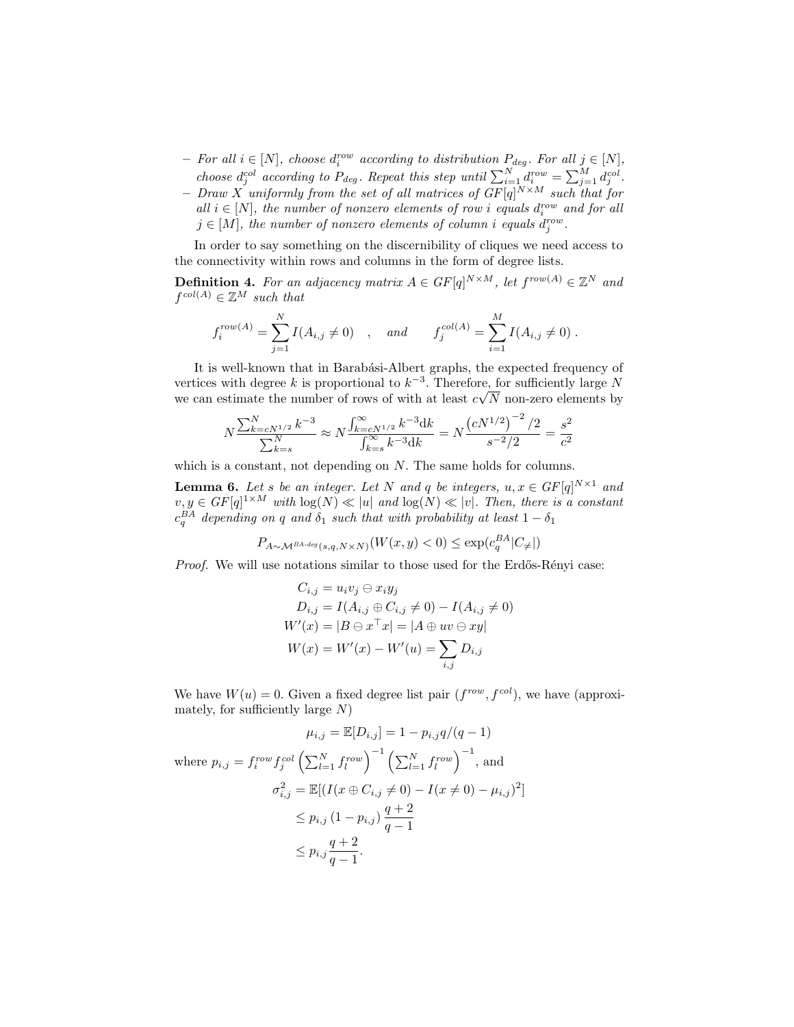- − For all  $i \in [N]$ , choose  $d_i^{row}$  according to distribution  $P_{deg}$ . For all  $j \in [N]$ , choose  $d_j^{col}$  according to  $P_{deg}$ . Repeat this step until  $\sum_{i=1}^{N} d_i^{row} = \sum_{j=1}^{M} d_j^{col}$ .
- $-$  Draw X uniformly from the set of all matrices of  $GF[q]^{N \times M}$  such that for all  $i \in [N]$ , the number of nonzero elements of row i equals  $d_i^{row}$  and for all  $j \in [M]$ , the number of nonzero elements of column i equals  $d_j^{row}$ .

In order to say something on the discernibility of cliques we need access to the connectivity within rows and columns in the form of degree lists.

**Definition 4.** For an adjacency matrix  $A \in GF[q]^{N \times M}$ , let  $f^{row(A)} \in \mathbb{Z}^N$  and  $f^{col(A)} \in \mathbb{Z}^M$  such that

$$
f_i^{row(A)} = \sum_{j=1}^{N} I(A_{i,j} \neq 0) \quad , \quad and \qquad f_j^{col(A)} = \sum_{i=1}^{M} I(A_{i,j} \neq 0) .
$$

It is well-known that in Barabási-Albert graphs, the expected frequency of vertices with degree k is proportional to  $k^{-3}$ . Therefore, for sufficiently large N we can estimate the number of rows of with at least  $c\sqrt{N}$  non-zero elements by

$$
N\frac{\sum_{k=cN^{1/2}}^{N}k^{-3}}{\sum_{k=s}^{N}} \approx N\frac{\int_{k=cN^{1/2}}^{\infty}k^{-3}\mathrm{d}k}{\int_{k=s}^{\infty}k^{-3}\mathrm{d}k} = N\frac{\left(cN^{1/2}\right)^{-2}/2}{s^{-2}/2} = \frac{s^2}{c^2}
$$

which is a constant, not depending on N. The same holds for columns.

**Lemma 6.** Let s be an integer. Let N and q be integers,  $u, x \in GF[q]^{N \times 1}$  and  $v, y \in GF[q]^{1 \times M}$  with  $\log(N) \ll |u|$  and  $\log(N) \ll |v|$ . Then, there is a constant  $c_{q}^{BA}$  depending on q and  $\delta_{1}$  such that with probability at least  $1-\delta_{1}$ 

$$
P_{A \sim \mathcal{M}^{BA \text{-}deg}(s,q,N \times N)}(W(x,y) < 0) \le \exp(c_q^{BA} |C_{\neq}|)
$$

Proof. We will use notations similar to those used for the Erdős-Rényi case:

$$
C_{i,j} = u_i v_j \ominus x_i y_j
$$
  
\n
$$
D_{i,j} = I(A_{i,j} \oplus C_{i,j} \neq 0) - I(A_{i,j} \neq 0)
$$
  
\n
$$
W'(x) = |B \ominus x^\top x| = |A \oplus uv \ominus xy|
$$
  
\n
$$
W(x) = W'(x) - W'(u) = \sum_{i,j} D_{i,j}
$$

We have  $W(u) = 0$ . Given a fixed degree list pair  $(f^{row}, f^{col})$ , we have (approximately, for sufficiently large  $N$ )

$$
\mu_{i,j} = \mathbb{E}[D_{i,j}] = 1 - p_{i,j}q/(q-1)
$$
  
where  $p_{i,j} = f_i^{row} f_j^{col} \left(\sum_{l=1}^N f_l^{row}\right)^{-1} \left(\sum_{l=1}^N f_l^{row}\right)^{-1}$ , and  

$$
\sigma_{i,j}^2 = \mathbb{E}[(I(x \oplus C_{i,j} \neq 0) - I(x \neq 0) - \mu_{i,j})^2]
$$

$$
\leq p_{i,j} (1 - p_{i,j}) \frac{q+2}{q-1}
$$

$$
\leq p_{i,j} \frac{q+2}{q-1}.
$$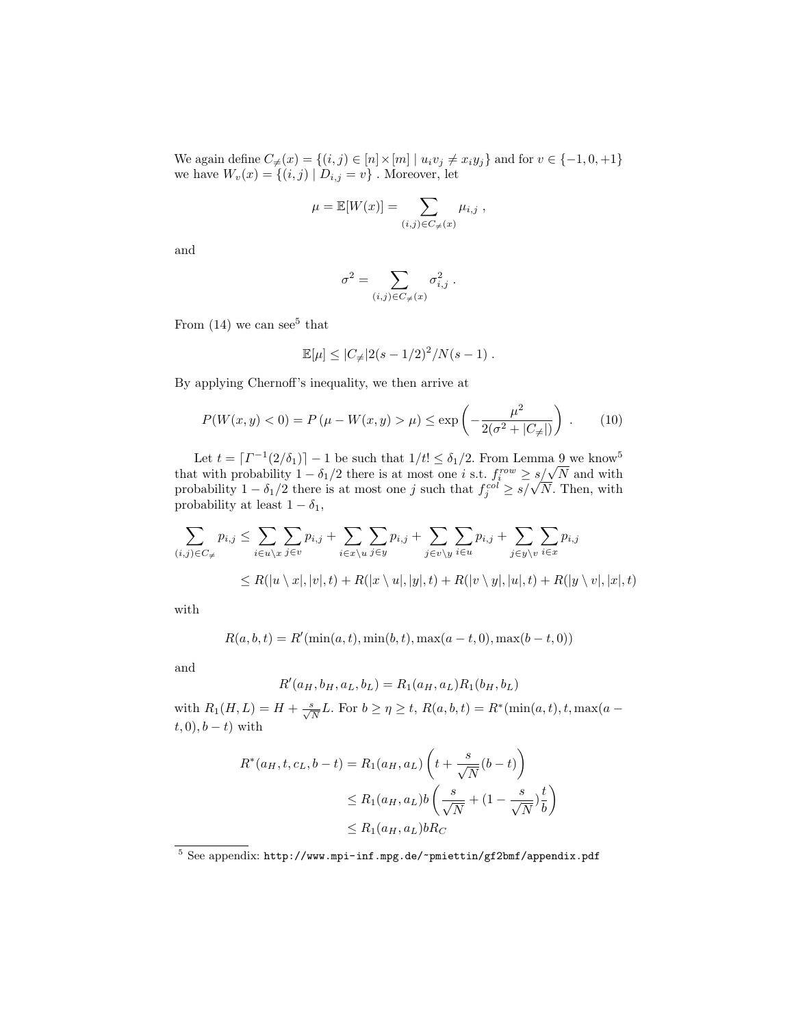We again define  $C_{\neq}(x) = \{(i, j) \in [n] \times [m] \mid u_i v_j \neq x_i y_j\}$  and for  $v \in \{-1, 0, +1\}$ we have  $W_v(x) = \{(i, j) | D_{i,j} = v\}$ . Moreover, let

$$
\mu = \mathbb{E}[W(x)] = \sum_{(i,j)\in C_{\neq}(x)} \mu_{i,j},
$$

and

$$
\sigma^2 = \sum_{(i,j) \in C_{\neq}(x)} \sigma_{i,j}^2 \; .
$$

From  $(14)$  we can see<sup>5</sup> that

$$
\mathbb{E}[\mu] \leq |C_{\neq}| 2(s-1/2)^2/N(s-1) .
$$

By applying Chernoff's inequality, we then arrive at

$$
P(W(x, y) < 0) = P(\mu - W(x, y) > \mu) \le \exp\left(-\frac{\mu^2}{2(\sigma^2 + |C_{\neq}|)}\right) \,. \tag{10}
$$

Let  $t = \lceil \Gamma^{-1}(2/\delta_1) \rceil - 1$  be such that  $1/t! \leq \delta_1/2$ . From Lemma 9 we know<sup>5</sup> Let  $t = |I^{-1}(2/\delta_1)| - 1$  be such that  $1/t! \leq \delta_1/2$ . From Lemma 9 we know<br>that with probability  $1 - \delta_1/2$  there is at most one i s.t.  $f_i^{row} \geq s/\sqrt{N}$  and with that with probability  $1 - \delta_1/2$  there is at most one i s.t.  $f_i^{\circ \omega} \ge s/\sqrt{N}$  and with probability  $1 - \delta_1/2$  there is at most one j such that  $f_j^{col} \ge s/\sqrt{N}$ . Then, with probability at least  $1 - \delta_1$ ,

$$
\sum_{(i,j)\in C_{\neq}} p_{i,j} \leq \sum_{i\in u\backslash x} \sum_{j\in v} p_{i,j} + \sum_{i\in x\backslash u} \sum_{j\in y} p_{i,j} + \sum_{j\in v\backslash y} \sum_{i\in u} p_{i,j} + \sum_{j\in y\backslash v} \sum_{i\in x} p_{i,j}
$$
  

$$
\leq R(|u\setminus x|, |v|, t) + R(|x\setminus u|, |y|, t) + R(|v\setminus y|, |u|, t) + R(|y\setminus v|, |x|, t)
$$

with

$$
R(a, b, t) = R'(\min(a, t), \min(b, t), \max(a - t, 0), \max(b - t, 0))
$$

and

$$
R^\prime(a_H,b_H,a_L,b_L)=R_1(a_H,a_L)R_1(b_H,b_L)
$$

with  $R_1(H, L) = H + \frac{s}{\sqrt{N}}L$ . For  $b \ge \eta \ge t$ ,  $R(a, b, t) = R^*(\min(a, t), t, \max(a (t, 0), b - t)$  with

$$
R^*(a_H, t, c_L, b - t) = R_1(a_H, a_L) \left( t + \frac{s}{\sqrt{N}} (b - t) \right)
$$
  

$$
\leq R_1(a_H, a_L) b \left( \frac{s}{\sqrt{N}} + (1 - \frac{s}{\sqrt{N}}) \frac{t}{b} \right)
$$
  

$$
\leq R_1(a_H, a_L) b R_C
$$

 $\frac{5}{6}$  See appendix: http://www.mpi-inf.mpg.de/~pmiettin/gf2bmf/appendix.pdf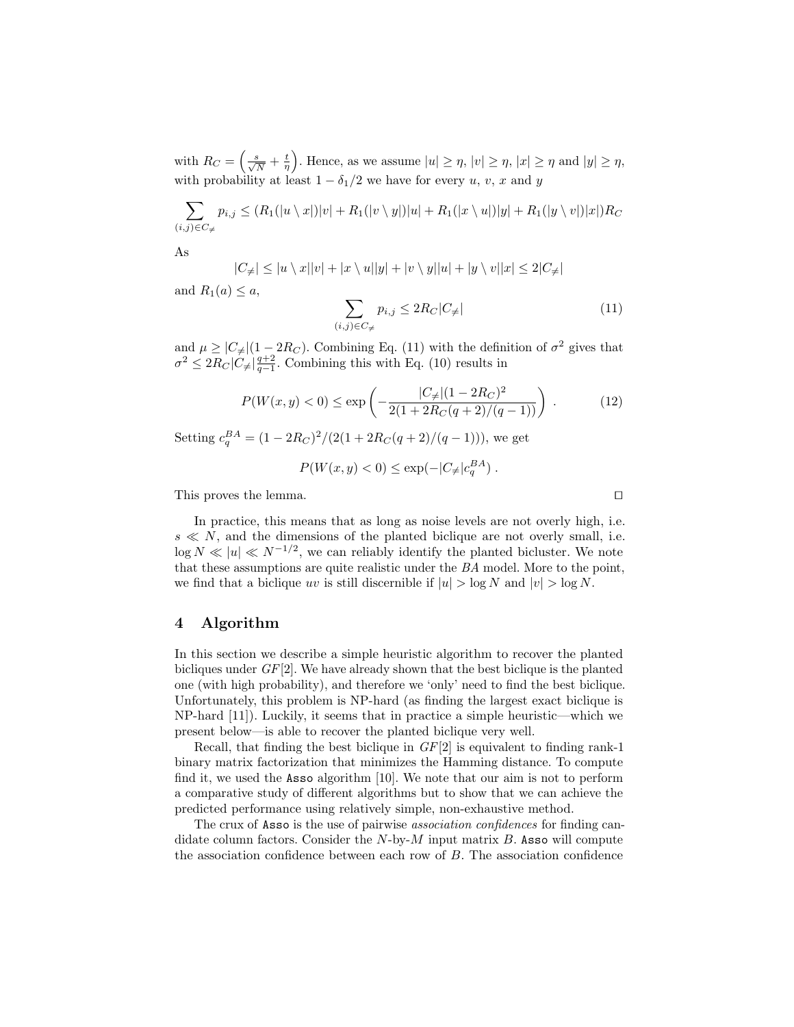with  $R_C = \left(\frac{s}{\sqrt{N}} + \frac{t}{\eta}\right)$ . Hence, as we assume  $|u| \ge \eta$ ,  $|v| \ge \eta$ ,  $|x| \ge \eta$  and  $|y| \ge \eta$ , with probability at least  $1 - \delta_1/2$  we have for every u, v, x and y

$$
\sum_{(i,j)\in C_{\neq}} p_{i,j} \leq (R_1(|u \setminus x|)|v| + R_1(|v \setminus y|)|u| + R_1(|x \setminus u|)|y| + R_1(|y \setminus v|)|x|)R_C
$$

As

$$
|C_{\neq}| \le |u \setminus x||v| + |x \setminus u||y| + |v \setminus y||u| + |y \setminus v||x| \le 2|C_{\neq}|
$$

and  $R_1(a) \leq a$ ,

$$
\sum_{(i,j)\in C_{\neq}} p_{i,j} \leq 2R_C|C_{\neq}| \tag{11}
$$

and  $\mu \geq |C_{\neq}|(1-2R_C)$ . Combining Eq. (11) with the definition of  $\sigma^2$  gives that  $\sigma^2 \leq 2R_C|\hat{C}_{\neq}|_{\frac{q+2}{q-1}}^{\frac{q+2}{q-1}}$ . Combining this with Eq. (10) results in

$$
P(W(x, y) < 0) \le \exp\left(-\frac{|C_{\neq}|(1 - 2R_C)^2}{2(1 + 2R_C(q + 2)/(q - 1))}\right) \tag{12}
$$

Setting  $c_q^{BA} = (1 - 2R_C)^2/(2(1 + 2R_C(q + 2)/(q - 1))),$  we get

$$
P(W(x, y) < 0) \le \exp(-|C_{\neq}|c_g^{BA}).
$$

This proves the lemma.  $\Box$ 

In practice, this means that as long as noise levels are not overly high, i.e.  $s \ll N$ , and the dimensions of the planted biclique are not overly small, i.e.  $\log N \ll |u| \ll N^{-1/2}$ , we can reliably identify the planted bicluster. We note that these assumptions are quite realistic under the BA model. More to the point, we find that a biclique uv is still discernible if  $|u| > \log N$  and  $|v| > \log N$ .

# 4 Algorithm

In this section we describe a simple heuristic algorithm to recover the planted bicliques under GF[2]. We have already shown that the best biclique is the planted one (with high probability), and therefore we 'only' need to find the best biclique. Unfortunately, this problem is NP-hard (as finding the largest exact biclique is NP-hard [11]). Luckily, it seems that in practice a simple heuristic—which we present below—is able to recover the planted biclique very well.

Recall, that finding the best biclique in  $GF[2]$  is equivalent to finding rank-1 binary matrix factorization that minimizes the Hamming distance. To compute find it, we used the Asso algorithm [10]. We note that our aim is not to perform a comparative study of different algorithms but to show that we can achieve the predicted performance using relatively simple, non-exhaustive method.

The crux of Asso is the use of pairwise *association confidences* for finding candidate column factors. Consider the  $N$ -by- $M$  input matrix  $B$ . Asso will compute the association confidence between each row of B. The association confidence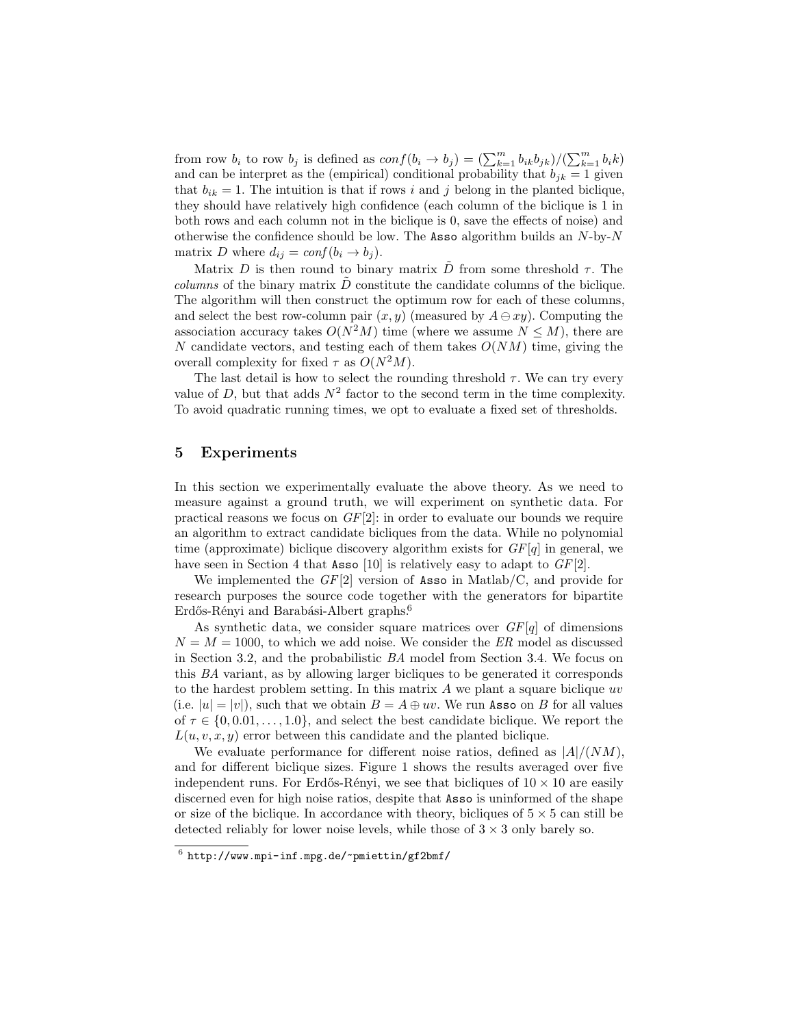from row  $b_i$  to row  $b_j$  is defined as  $conf(b_i \rightarrow b_j) = (\sum_{k=1}^m b_{ik}b_{jk})/(\sum_{k=1}^m b_{ik})$ and can be interpret as the (empirical) conditional probability that  $b_{jk} = 1$  given that  $b_{ik} = 1$ . The intuition is that if rows i and j belong in the planted biclique, they should have relatively high confidence (each column of the biclique is 1 in both rows and each column not in the biclique is 0, save the effects of noise) and otherwise the confidence should be low. The Asso algorithm builds an  $N$ -by- $N$ matrix D where  $d_{ij} = conf(b_i \rightarrow b_j)$ .

Matrix D is then round to binary matrix  $\ddot{D}$  from some threshold  $\tau$ . The *columns* of the binary matrix  $\ddot{D}$  constitute the candidate columns of the biclique. The algorithm will then construct the optimum row for each of these columns, and select the best row-column pair  $(x, y)$  (measured by  $A \ominus xy$ ). Computing the association accuracy takes  $O(N^2M)$  time (where we assume  $N \leq M$ ), there are N candidate vectors, and testing each of them takes  $O(NM)$  time, giving the overall complexity for fixed  $\tau$  as  $O(N^2M)$ .

The last detail is how to select the rounding threshold  $\tau$ . We can try every value of D, but that adds  $N^2$  factor to the second term in the time complexity. To avoid quadratic running times, we opt to evaluate a fixed set of thresholds.

## 5 Experiments

In this section we experimentally evaluate the above theory. As we need to measure against a ground truth, we will experiment on synthetic data. For practical reasons we focus on  $GF[2]$ : in order to evaluate our bounds we require an algorithm to extract candidate bicliques from the data. While no polynomial time (approximate) biclique discovery algorithm exists for  $GF[q]$  in general, we have seen in Section 4 that Asso [10] is relatively easy to adapt to  $GF[2]$ .

We implemented the  $GF[2]$  version of Asso in Matlab/C, and provide for research purposes the source code together with the generators for bipartite Erdős-Rényi and Barabási-Albert graphs.<sup>6</sup>

As synthetic data, we consider square matrices over  $GF[q]$  of dimensions  $N = M = 1000$ , to which we add noise. We consider the ER model as discussed in Section 3.2, and the probabilistic BA model from Section 3.4. We focus on this BA variant, as by allowing larger bicliques to be generated it corresponds to the hardest problem setting. In this matrix  $A$  we plant a square biclique uv (i.e.  $|u| = |v|$ ), such that we obtain  $B = A \oplus uv$ . We run Asso on B for all values of  $\tau \in \{0, 0.01, \ldots, 1.0\}$ , and select the best candidate biclique. We report the  $L(u, v, x, y)$  error between this candidate and the planted biclique.

We evaluate performance for different noise ratios, defined as  $|A|/(NM)$ . and for different biclique sizes. Figure 1 shows the results averaged over five independent runs. For Erdős-Rényi, we see that bicliques of  $10 \times 10$  are easily discerned even for high noise ratios, despite that Asso is uninformed of the shape or size of the biclique. In accordance with theory, bicliques of  $5 \times 5$  can still be detected reliably for lower noise levels, while those of  $3 \times 3$  only barely so.

 $^6$  http://www.mpi-inf.mpg.de/~pmiettin/gf2bmf/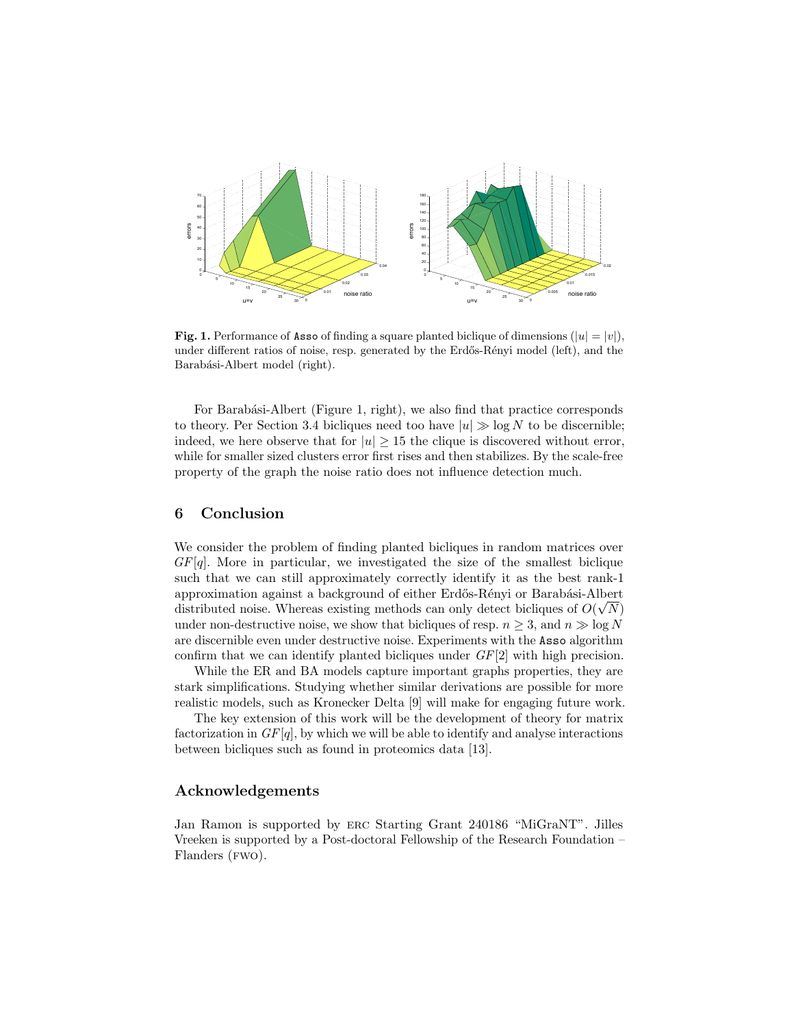

Fig. 1. Performance of Asso of finding a square planted biclique of dimensions  $(|u| = |v|)$ , under different ratios of noise, resp. generated by the Erdős-Rényi model (left), and the Barabási-Albert model (right).

For Barabási-Albert (Figure 1, right), we also find that practice corresponds to theory. Per Section 3.4 bicliques need too have  $|u| \gg \log N$  to be discernible; indeed, we here observe that for  $|u| \geq 15$  the clique is discovered without error, while for smaller sized clusters error first rises and then stabilizes. By the scale-free property of the graph the noise ratio does not influence detection much.

## 6 Conclusion

We consider the problem of finding planted bicliques in random matrices over  $GF[q]$ . More in particular, we investigated the size of the smallest biclique such that we can still approximately correctly identify it as the best rank-1 approximation against a background of either Erdős-Rényi or Barabási-Albert distributed noise. Whereas existing methods can only detect bicliques of  $O(\sqrt{N})$ under non-destructive noise, we show that bicliques of resp.  $n \geq 3$ , and  $n \gg \log N$ are discernible even under destructive noise. Experiments with the Asso algorithm confirm that we can identify planted bicliques under  $GF[2]$  with high precision.

While the ER and BA models capture important graphs properties, they are stark simplifications. Studying whether similar derivations are possible for more realistic models, such as Kronecker Delta [9] will make for engaging future work.

The key extension of this work will be the development of theory for matrix factorization in  $GF[q]$ , by which we will be able to identify and analyse interactions between bicliques such as found in proteomics data [13].

## Acknowledgements

Jan Ramon is supported by erc Starting Grant 240186 "MiGraNT". Jilles Vreeken is supported by a Post-doctoral Fellowship of the Research Foundation – Flanders (FWO).